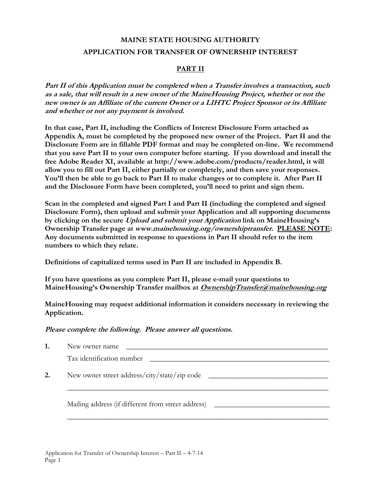# **MAINE STATE HOUSING AUTHORITY APPLICATION FOR TRANSFER OF OWNERSHIP INTEREST**

## **PART II**

**Part II of this Application must be completed when a Transfer involves a transaction, such as a sale, that will result in a new owner of the MaineHousing Project, whether or not the new owner is an Affiliate of the current Owner or a LIHTC Project Sponsor or its Affiliate and whether or not any payment is involved.** 

**In that case, Part II, including the Conflicts of Interest Disclosure Form attached as Appendix A, must be completed by the proposed new owner of the Project. Part II and the Disclosure Form are in fillable PDF format and may be completed on-line. We recommend that you save Part II to your own computer before starting. If you download and install the free Adobe Reader XI, available at http://www.adobe.com/products/reader.html, it will allow you to fill out Part II, either partially or completely, and then save your responses. You'll then be able to go back to Part II to make changes or to complete it. After Part II and the Disclosure Form have been completed, you'll need to print and sign them.** 

**Scan in the completed and signed Part I and Part II (including the completed and signed Disclosure Form), then upload and submit your Application and all supporting documents by clicking on the secure Upload and submit your Application link on MaineHousing's Ownership Transfer page at www.mainehousing.org/ownershiptransfer. PLEASE NOTE: Any documents submitted in response to questions in Part II should refer to the item numbers to which they relate.** 

**Definitions of capitalized terms used in Part II are included in Appendix B.** 

**If you have questions as you complete Part II, please e-mail your questions to MaineHousing's Ownership Transfer mailbox at OwnershipTransfer@mainehousing.org**

**MaineHousing may request additional information it considers necessary in reviewing the Application.** 

**Please complete the following. Please answer all questions.** 

|    | New owner name<br><u> 1980 - Jan Samuel Barbara, martin da shekara 1980 - An tsara 1980 - An tsara 1980 - An tsara 1980 - An tsara </u> |
|----|-----------------------------------------------------------------------------------------------------------------------------------------|
|    | Tax identification number<br><u> 1989 - Johann Stein, fransk politik (d. 1989)</u>                                                      |
| 2. |                                                                                                                                         |
|    | Mailing address (if different from street address) _____________________________                                                        |
|    |                                                                                                                                         |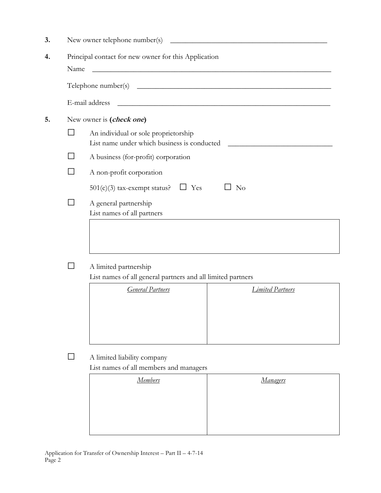| 3. |                                                      | New owner telephone number(s)                                                                                                                             |  |  |  |  |  |
|----|------------------------------------------------------|-----------------------------------------------------------------------------------------------------------------------------------------------------------|--|--|--|--|--|
| 4. | Principal contact for new owner for this Application |                                                                                                                                                           |  |  |  |  |  |
|    | Name                                                 |                                                                                                                                                           |  |  |  |  |  |
|    |                                                      |                                                                                                                                                           |  |  |  |  |  |
|    |                                                      | E-mail address<br><u> 1989 - Johann Barn, mars ann an t-Amhain ann an t-Amhain ann an t-Amhain ann an t-Amhain an t-Amhain ann an t-</u>                  |  |  |  |  |  |
| 5. |                                                      | New owner is (check one)                                                                                                                                  |  |  |  |  |  |
|    |                                                      | An individual or sole proprietorship<br>List name under which business is conducted<br><u> 1980 - Andrea Station Barbara, amerikan personal (h. 1980)</u> |  |  |  |  |  |
|    |                                                      | A business (for-profit) corporation                                                                                                                       |  |  |  |  |  |
|    |                                                      | A non-profit corporation                                                                                                                                  |  |  |  |  |  |
|    |                                                      | $501(c)(3)$ tax-exempt status?<br>Yes<br>No<br>$\Box$                                                                                                     |  |  |  |  |  |
|    |                                                      | A general partnership<br>List names of all partners                                                                                                       |  |  |  |  |  |
|    |                                                      |                                                                                                                                                           |  |  |  |  |  |
|    |                                                      |                                                                                                                                                           |  |  |  |  |  |
|    |                                                      | A limited partnership                                                                                                                                     |  |  |  |  |  |

List names of all general partners and all limited partners

| <b>General Partners</b> | <b>Limited Partners</b> |
|-------------------------|-------------------------|
|                         |                         |
|                         |                         |
|                         |                         |
|                         |                         |

□ A limited liability company

List names of all members and managers

| <b>Members</b> | <b>Managers</b> |
|----------------|-----------------|
|                |                 |
|                |                 |
|                |                 |
|                |                 |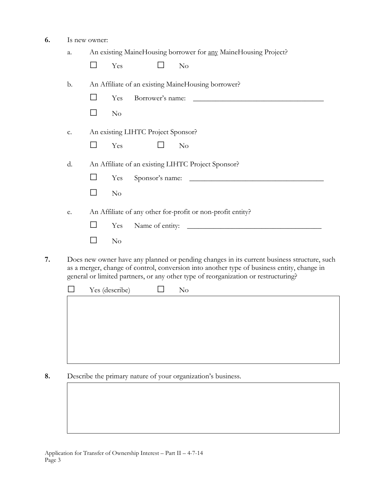**6.** Is new owner:

|               | Yes<br>No                                                                                                           |
|---------------|---------------------------------------------------------------------------------------------------------------------|
| $\mathbf b$ . | An Affiliate of an existing MaineHousing borrower?                                                                  |
|               | Borrower's name:<br>Yes                                                                                             |
|               | $\rm No$                                                                                                            |
| c.            | An existing LIHTC Project Sponsor?                                                                                  |
|               | Yes<br>$\rm No$                                                                                                     |
| d.            | An Affiliate of an existing LIHTC Project Sponsor?                                                                  |
|               | Yes                                                                                                                 |
|               | $\rm No$                                                                                                            |
| e.            | An Affiliate of any other for-profit or non-profit entity?                                                          |
|               | Name of entity:<br>Yes<br>the control of the control of the control of the control of the control of the control of |
|               | No                                                                                                                  |

as a merger, change of control, conversion into another type of business entity, change in general or limited partners, or any other type of reorganization or restructuring?

| $\Box$ Yes (describe) $\Box$ No |  |
|---------------------------------|--|
|                                 |  |
|                                 |  |
|                                 |  |
|                                 |  |
|                                 |  |

**8.** Describe the primary nature of your organization's business.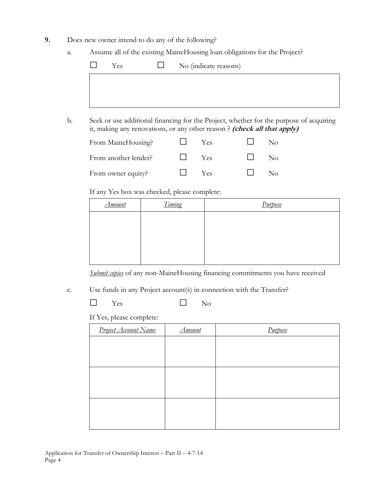- **9.** Does new owner intend to do any of the following?
	- a. Assume all of the existing MaineHousing loan obligations for the Project?

| $\mathbf{L}$ | Yes | $\Box$ No (indicate reasons) |
|--------------|-----|------------------------------|
|              |     |                              |
|              |     |                              |
|              |     |                              |

b. Seek or use additional financing for the Project, whether for the purpose of acquiring it, making any renovations, or any other reason ? **(check all that apply)**

| From MaineHousing?   | Yes. | Nο           |
|----------------------|------|--------------|
| From another lender? | Yes  | $N_{\Omega}$ |
| From owner equity?   | Yes  | Nω           |

If any Yes box was checked, please complete:

| Timing | Purpose |
|--------|---------|
|        |         |
|        |         |
|        |         |
|        |         |
|        |         |

*Submit copies* of any non-MaineHousing financing commitments you have received

c. Use funds in any Project account(s) in connection with the Transfer?

 $\Box$  Yes  $\Box$  No

If Yes, please complete:

| <b>Project Account Name</b> | Amount | Purpose |
|-----------------------------|--------|---------|
|                             |        |         |
|                             |        |         |
|                             |        |         |
|                             |        |         |
|                             |        |         |
|                             |        |         |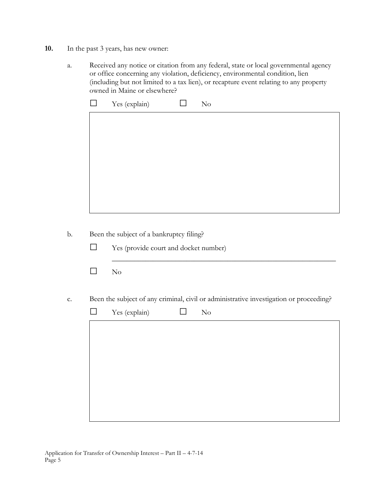- **10.** In the past 3 years, has new owner:
	- a. Received any notice or citation from any federal, state or local governmental agency or office concerning any violation, deficiency, environmental condition, lien (including but not limited to a tax lien), or recapture event relating to any property owned in Maine or elsewhere?

|         | Yes (explain)<br>$\rm No$                                                              |
|---------|----------------------------------------------------------------------------------------|
|         |                                                                                        |
|         |                                                                                        |
|         |                                                                                        |
|         |                                                                                        |
|         |                                                                                        |
|         |                                                                                        |
|         |                                                                                        |
|         |                                                                                        |
|         |                                                                                        |
|         | Been the subject of a bankruptcy filing?                                               |
| $\perp$ | Yes (provide court and docket number)                                                  |
|         |                                                                                        |
| $\Box$  | $\rm No$                                                                               |
|         |                                                                                        |
|         |                                                                                        |
|         | Been the subject of any criminal, civil or administrative investigation or proceeding? |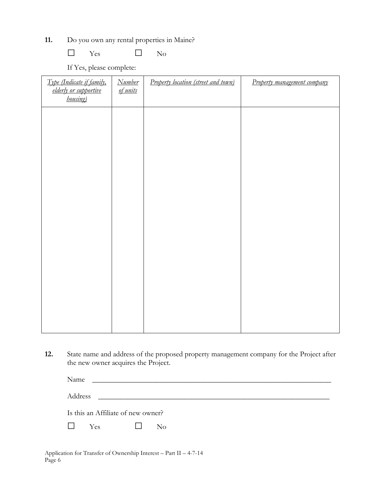**11.** Do you own any rental properties in Maine?

 $\Box$  Yes  $\Box$  No

If Yes, please complete:

| Type (Indicate if family,<br>elderly or supportive<br>housing) | <b>Number</b><br>of units | Property location (street and town) | Property management company |
|----------------------------------------------------------------|---------------------------|-------------------------------------|-----------------------------|
|                                                                |                           |                                     |                             |
|                                                                |                           |                                     |                             |
|                                                                |                           |                                     |                             |
|                                                                |                           |                                     |                             |
|                                                                |                           |                                     |                             |
|                                                                |                           |                                     |                             |
|                                                                |                           |                                     |                             |
|                                                                |                           |                                     |                             |

**12.** State name and address of the proposed property management company for the Project after the new owner acquires the Project.

| Name                               |                                                           |  |
|------------------------------------|-----------------------------------------------------------|--|
| Address                            | <u> 1980 - Andrea Station Books, amerikansk politik (</u> |  |
| Is this an Affiliate of new owner? |                                                           |  |
| <b>Yes</b>                         | $\rm No$                                                  |  |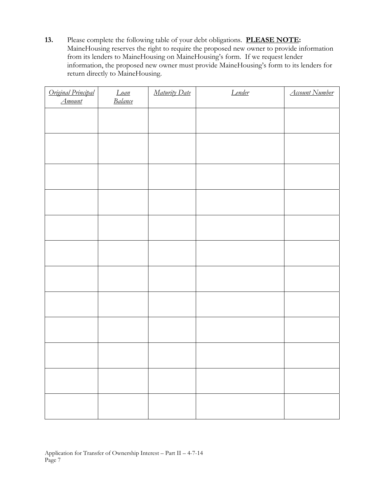**13.** Please complete the following table of your debt obligations. **PLEASE NOTE:**  MaineHousing reserves the right to require the proposed new owner to provide information from its lenders to MaineHousing on MaineHousing's form. If we request lender information, the proposed new owner must provide MaineHousing's form to its lenders for return directly to MaineHousing.

| Original Principal<br><b>Amount</b> | Loan<br>Balance | Maturity Date | Lender | <b>Account Number</b> |
|-------------------------------------|-----------------|---------------|--------|-----------------------|
|                                     |                 |               |        |                       |
|                                     |                 |               |        |                       |
|                                     |                 |               |        |                       |
|                                     |                 |               |        |                       |
|                                     |                 |               |        |                       |
|                                     |                 |               |        |                       |
|                                     |                 |               |        |                       |
|                                     |                 |               |        |                       |
|                                     |                 |               |        |                       |
|                                     |                 |               |        |                       |
|                                     |                 |               |        |                       |
|                                     |                 |               |        |                       |
|                                     |                 |               |        |                       |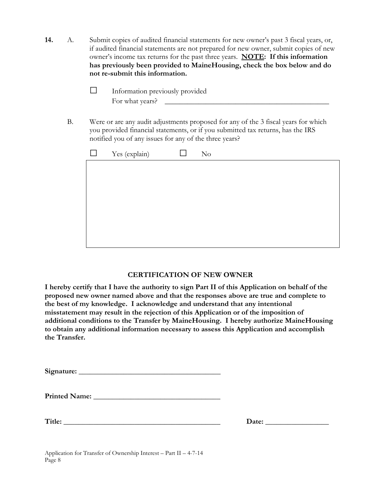**14.** A. Submit copies of audited financial statements for new owner's past 3 fiscal years, or, if audited financial statements are not prepared for new owner, submit copies of new owner's income tax returns for the past three years. **NOTE: If this information has previously been provided to MaineHousing, check the box below and do not re-submit this information.** 

| Information previously provided |
|---------------------------------|
| For what years?                 |

B. Were or are any audit adjustments proposed for any of the 3 fiscal years for which you provided financial statements, or if you submitted tax returns, has the IRS notified you of any issues for any of the three years?

| $\Box$ Yes (explain) | $\Box$ | N <sub>o</sub> |
|----------------------|--------|----------------|
|                      |        |                |
|                      |        |                |
|                      |        |                |
|                      |        |                |
|                      |        |                |
|                      |        |                |

### **CERTIFICATION OF NEW OWNER**

**I hereby certify that I have the authority to sign Part II of this Application on behalf of the proposed new owner named above and that the responses above are true and complete to the best of my knowledge. I acknowledge and understand that any intentional misstatement may result in the rejection of this Application or of the imposition of additional conditions to the Transfer by MaineHousing. I hereby authorize MaineHousing to obtain any additional information necessary to assess this Application and accomplish the Transfer.** 

| Signature: |  |
|------------|--|
|            |  |

**Title: \_\_\_\_\_\_\_\_\_\_\_\_\_\_\_\_\_\_\_\_\_\_\_\_\_\_\_\_\_\_\_\_\_\_\_\_\_\_\_\_\_\_ Date: \_\_\_\_\_\_\_\_\_\_\_\_\_\_\_\_\_**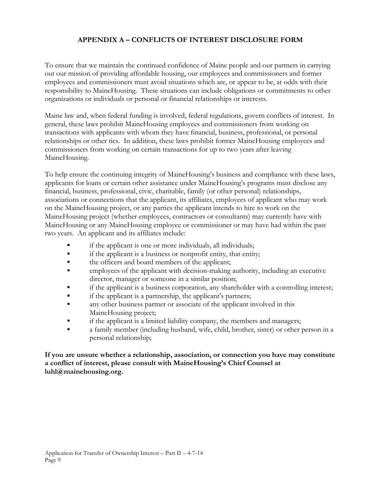## **APPENDIX A – CONFLICTS OF INTEREST DISCLOSURE FORM**

To ensure that we maintain the continued confidence of Maine people and our partners in carrying out our mission of providing affordable housing, our employees and commissioners and former employees and commissioners must avoid situations which are, or appear to be, at odds with their responsibility to MaineHousing. These situations can include obligations or commitments to other organizations or individuals or personal or financial relationships or interests.

Maine law and, when federal funding is involved, federal regulations, govern conflicts of interest. In general, these laws prohibit MaineHousing employees and commissioners from working on transactions with applicants with whom they have financial, business, professional, or personal relationships or other ties. In addition, these laws prohibit former MaineHousing employees and commissioners from working on certain transactions for up to two years after leaving MaineHousing.

To help ensure the continuing integrity of MaineHousing's business and compliance with these laws, applicants for loans or certain other assistance under MaineHousing's programs must disclose any financial, business, professional, civic, charitable, family (or other personal) relationships, associations or connections that the applicant, its affiliates, employees of applicant who may work on the MaineHousing project, or any parties the applicant intends to hire to work on the MaineHousing project (whether employees, contractors or consultants) may currently have with MaineHousing or any MaineHousing employee or commissioner or may have had within the past two years. An applicant and its affiliates include:

- if the applicant is one or more individuals, all individuals;
- **•** if the applicant is a business or nonprofit entity, that entity;
- the officers and board members of the applicant;
- **•** employees of the applicant with decision-making authority, including an executive director, manager or someone in a similar position;
- if the applicant is a business corporation, any shareholder with a controlling interest;
- if the applicant is a partnership, the applicant's partners;
- any other business partner or associate of the applicant involved in this MaineHousing project;
- **•** if the applicant is a limited liability company, the members and managers;
- a family member (including husband, wife, child, brother, sister) or other person in a personal relationship;

### **If you are unsure whether a relationship, association, or connection you have may constitute a conflict of interest, please consult with MaineHousing's Chief Counsel at luhl@mainehousing.org.**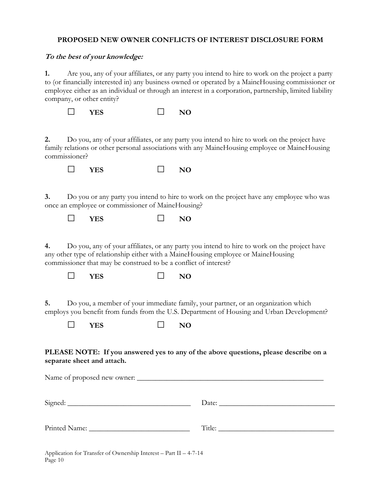### **PROPOSED NEW OWNER CONFLICTS OF INTEREST DISCLOSURE FORM**

#### **To the best of your knowledge:**

**1.** Are you, any of your affiliates, or any party you intend to hire to work on the project a party to (or financially interested in) any business owned or operated by a MaineHousing commissioner or employee either as an individual or through an interest in a corporation, partnership, limited liability company, or other entity?

| <b>YES</b> |  | N <sub>O</sub> |
|------------|--|----------------|
|            |  |                |

**2.** Do you, any of your affiliates, or any party you intend to hire to work on the project have family relations or other personal associations with any MaineHousing employee or MaineHousing commissioner?

| <b>VES</b> |  | N() |
|------------|--|-----|
|            |  |     |

**3.** Do you or any party you intend to hire to work on the project have any employee who was once an employee or commissioner of MaineHousing?

**□ YES □ NO** 

**4.** Do you, any of your affiliates, or any party you intend to hire to work on the project have any other type of relationship either with a MaineHousing employee or MaineHousing commissioner that may be construed to be a conflict of interest?

**□ YES □ NO** 

**5.** Do you, a member of your immediate family, your partner, or an organization which employs you benefit from funds from the U.S. Department of Housing and Urban Development?

**□ YES □ NO** 

**PLEASE NOTE: If you answered yes to any of the above questions, please describe on a separate sheet and attach.** 

| Printed Name: University of Printed Name: |  |
|-------------------------------------------|--|

Application for Transfer of Ownership Interest – Part II – 4-7-14 Page 10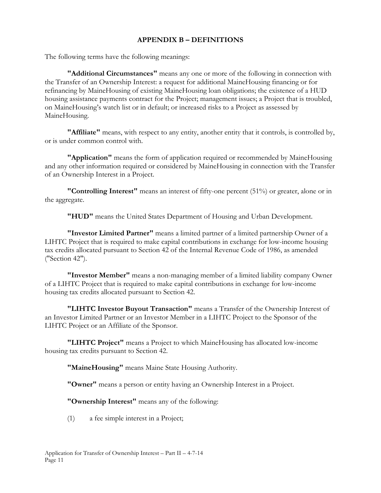### **APPENDIX B – DEFINITIONS**

The following terms have the following meanings:

**"Additional Circumstances"** means any one or more of the following in connection with the Transfer of an Ownership Interest: a request for additional MaineHousing financing or for refinancing by MaineHousing of existing MaineHousing loan obligations; the existence of a HUD housing assistance payments contract for the Project; management issues; a Project that is troubled, on MaineHousing's watch list or in default; or increased risks to a Project as assessed by MaineHousing.

 **"Affiliate"** means, with respect to any entity, another entity that it controls, is controlled by, or is under common control with.

 **"Application"** means the form of application required or recommended by MaineHousing and any other information required or considered by MaineHousing in connection with the Transfer of an Ownership Interest in a Project.

 **"Controlling Interest"** means an interest of fifty-one percent (51%) or greater, alone or in the aggregate.

 **"HUD"** means the United States Department of Housing and Urban Development.

 **"Investor Limited Partner"** means a limited partner of a limited partnership Owner of a LIHTC Project that is required to make capital contributions in exchange for low-income housing tax credits allocated pursuant to Section 42 of the Internal Revenue Code of 1986, as amended ("Section 42").

 **"Investor Member"** means a non-managing member of a limited liability company Owner of a LIHTC Project that is required to make capital contributions in exchange for low-income housing tax credits allocated pursuant to Section 42.

 **"LIHTC Investor Buyout Transaction"** means a Transfer of the Ownership Interest of an Investor Limited Partner or an Investor Member in a LIHTC Project to the Sponsor of the LIHTC Project or an Affiliate of the Sponsor.

 **"LIHTC Project"** means a Project to which MaineHousing has allocated low-income housing tax credits pursuant to Section 42.

**"MaineHousing"** means Maine State Housing Authority.

**"Owner"** means a person or entity having an Ownership Interest in a Project.

**"Ownership Interest"** means any of the following:

(1) a fee simple interest in a Project;